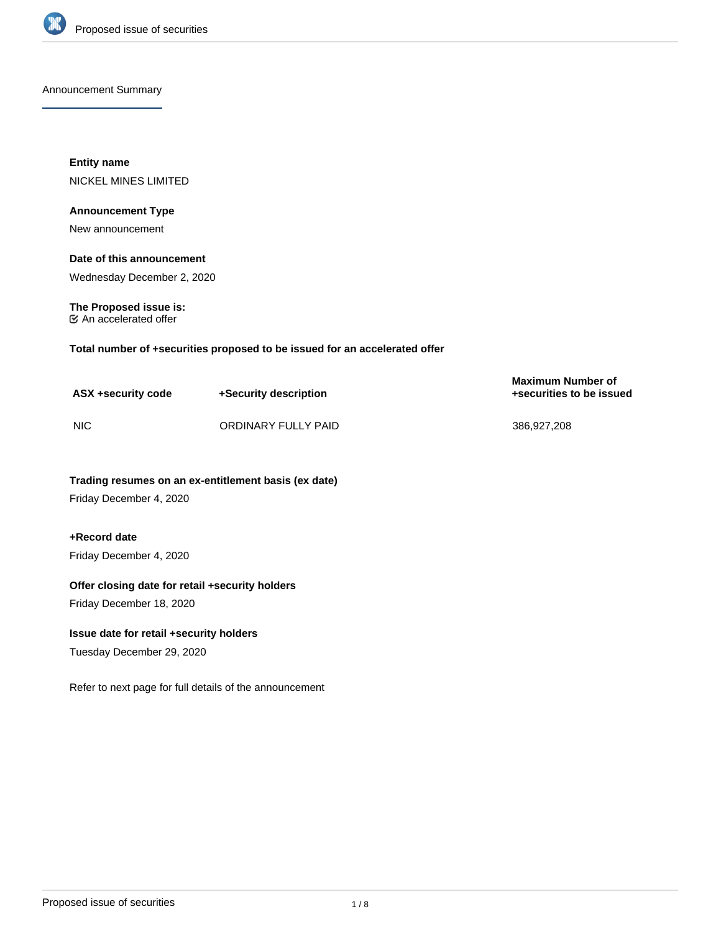

Announcement Summary

**Entity name** NICKEL MINES LIMITED

#### **Announcement Type**

New announcement

# **Date of this announcement**

Wednesday December 2, 2020

**The Proposed issue is:** An accelerated offer

**Total number of +securities proposed to be issued for an accelerated offer**

| ASX +security code | +Security description | <b>Maximum Number of</b><br>+securities to be issued |
|--------------------|-----------------------|------------------------------------------------------|
| <b>NIC</b>         | ORDINARY FULLY PAID   | 386,927,208                                          |

**Trading resumes on an ex-entitlement basis (ex date)**

Friday December 4, 2020

# **+Record date**

Friday December 4, 2020

## **Offer closing date for retail +security holders**

Friday December 18, 2020

## **Issue date for retail +security holders**

Tuesday December 29, 2020

Refer to next page for full details of the announcement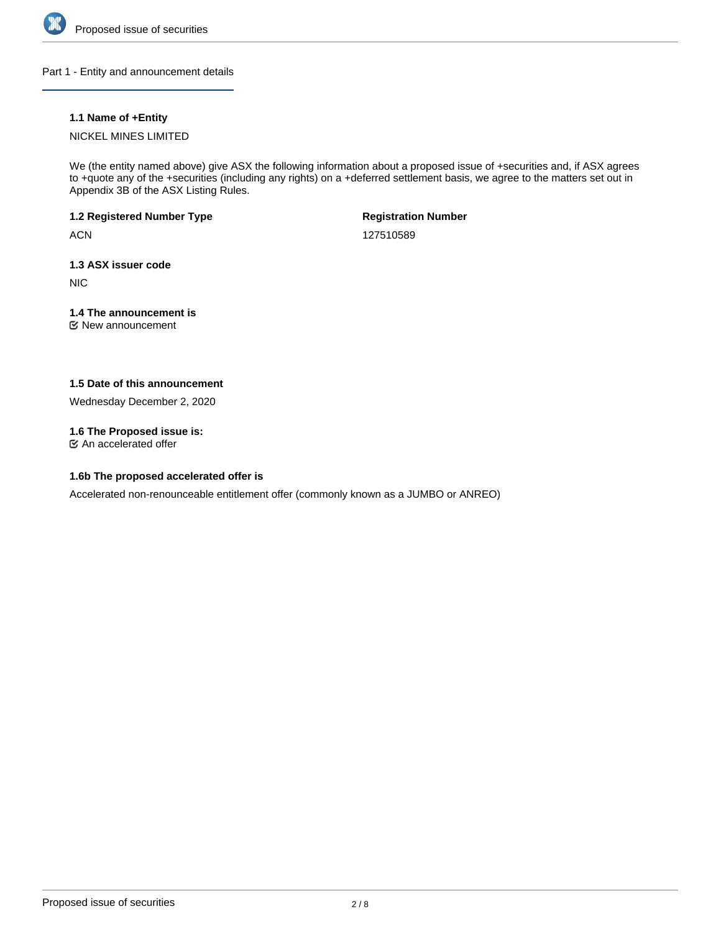

Part 1 - Entity and announcement details

# **1.1 Name of +Entity**

## NICKEL MINES LIMITED

We (the entity named above) give ASX the following information about a proposed issue of +securities and, if ASX agrees to +quote any of the +securities (including any rights) on a +deferred settlement basis, we agree to the matters set out in Appendix 3B of the ASX Listing Rules.

# **1.2 Registered Number Type**

**ACN** 

**Registration Number**

127510589

## **1.3 ASX issuer code**

NIC

# **1.4 The announcement is**

New announcement

# **1.5 Date of this announcement**

Wednesday December 2, 2020

# **1.6 The Proposed issue is:**

An accelerated offer

# **1.6b The proposed accelerated offer is**

Accelerated non-renounceable entitlement offer (commonly known as a JUMBO or ANREO)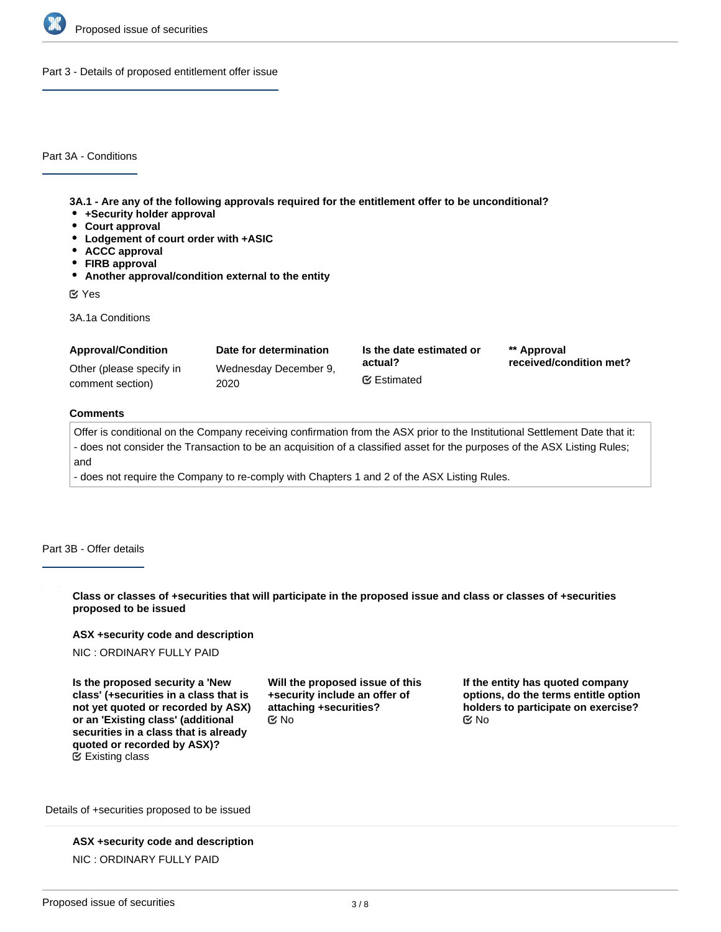

Part 3 - Details of proposed entitlement offer issue

Part 3A - Conditions

**3A.1 - Are any of the following approvals required for the entitlement offer to be unconditional?**

- **+Security holder approval**
- **Court approval**
- **Lodgement of court order with +ASIC**
- **ACCC approval**
- **FIRB approval**
- **Another approval/condition external to the entity**

Yes

3A.1a Conditions

| <b>Approval/Condition</b> | Date for determination | Is the date estimated or | ** Approval             |
|---------------------------|------------------------|--------------------------|-------------------------|
| Other (please specify in  | Wednesday December 9,  | actual?                  | received/condition met? |
| comment section)          | 2020                   | <b></b> ■ Estimated      |                         |

#### **Comments**

Offer is conditional on the Company receiving confirmation from the ASX prior to the Institutional Settlement Date that it: - does not consider the Transaction to be an acquisition of a classified asset for the purposes of the ASX Listing Rules; and

- does not require the Company to re-comply with Chapters 1 and 2 of the ASX Listing Rules.

Part 3B - Offer details

**Class or classes of +securities that will participate in the proposed issue and class or classes of +securities proposed to be issued**

#### **ASX +security code and description**

NIC : ORDINARY FULLY PAID

**Is the proposed security a 'New class' (+securities in a class that is not yet quoted or recorded by ASX) or an 'Existing class' (additional securities in a class that is already quoted or recorded by ASX)?** Existing class

**Will the proposed issue of this +security include an offer of attaching +securities?**  $\mathbb C$  No  $\mathbb C$  No  $\mathbb C$  No

**If the entity has quoted company options, do the terms entitle option holders to participate on exercise?**

Details of +securities proposed to be issued

**ASX +security code and description** NIC : ORDINARY FULLY PAID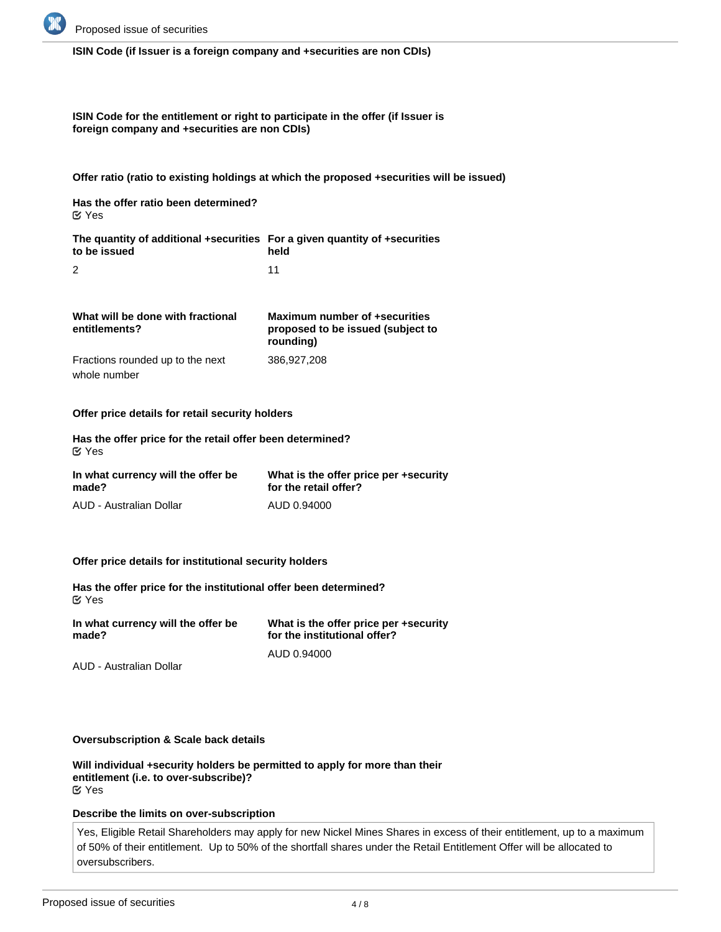

#### **ISIN Code (if Issuer is a foreign company and +securities are non CDIs)**

**ISIN Code for the entitlement or right to participate in the offer (if Issuer is foreign company and +securities are non CDIs)**

**Offer ratio (ratio to existing holdings at which the proposed +securities will be issued)**

**Has the offer ratio been determined?** Yes

**The quantity of additional +securities For a given quantity of +securities to be issued** 2 **held** 11

**What will be done with fractional entitlements?** Fractions rounded up to the next **Maximum number of +securities proposed to be issued (subject to rounding)** 386,927,208

**Offer price details for retail security holders**

**Has the offer price for the retail offer been determined?** Yes

| In what currency will the offer be | What is the offer price per +security |
|------------------------------------|---------------------------------------|
| made?                              | for the retail offer?                 |
| AUD - Australian Dollar            | AUD 0.94000                           |

#### **Offer price details for institutional security holders**

**Has the offer price for the institutional offer been determined?** Yes

| In what currency will the offer be | What is the offer price per +security |  |
|------------------------------------|---------------------------------------|--|
| made?                              | for the institutional offer?          |  |
|                                    | AUD 0.94000                           |  |

AUD - Australian Dollar

whole number

**Oversubscription & Scale back details**

**Will individual +security holders be permitted to apply for more than their entitlement (i.e. to over-subscribe)?** Yes

#### **Describe the limits on over-subscription**

Yes, Eligible Retail Shareholders may apply for new Nickel Mines Shares in excess of their entitlement, up to a maximum of 50% of their entitlement. Up to 50% of the shortfall shares under the Retail Entitlement Offer will be allocated to oversubscribers.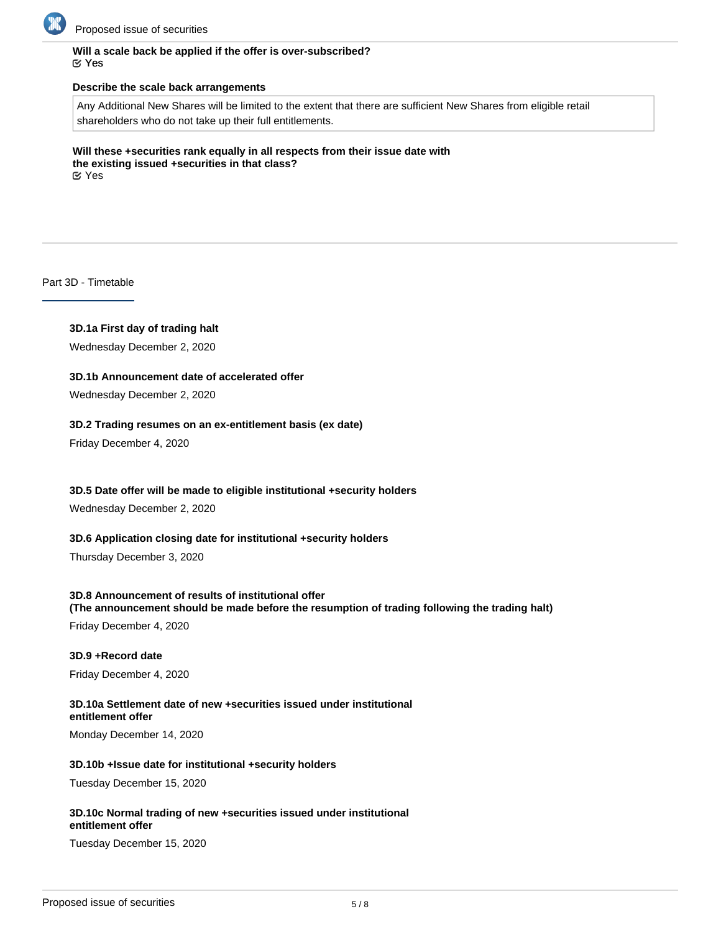

## **Will a scale back be applied if the offer is over-subscribed?** Yes

#### **Describe the scale back arrangements**

Any Additional New Shares will be limited to the extent that there are sufficient New Shares from eligible retail shareholders who do not take up their full entitlements.

**Will these +securities rank equally in all respects from their issue date with the existing issued +securities in that class?** Yes

Part 3D - Timetable

# **3D.1a First day of trading halt**

Wednesday December 2, 2020

## **3D.1b Announcement date of accelerated offer**

Wednesday December 2, 2020

## **3D.2 Trading resumes on an ex-entitlement basis (ex date)**

Friday December 4, 2020

## **3D.5 Date offer will be made to eligible institutional +security holders**

Wednesday December 2, 2020

## **3D.6 Application closing date for institutional +security holders**

Thursday December 3, 2020

## **3D.8 Announcement of results of institutional offer**

**(The announcement should be made before the resumption of trading following the trading halt)**

Friday December 4, 2020

#### **3D.9 +Record date**

Friday December 4, 2020

#### **3D.10a Settlement date of new +securities issued under institutional entitlement offer**

Monday December 14, 2020

#### **3D.10b +Issue date for institutional +security holders**

Tuesday December 15, 2020

#### **3D.10c Normal trading of new +securities issued under institutional entitlement offer**

Tuesday December 15, 2020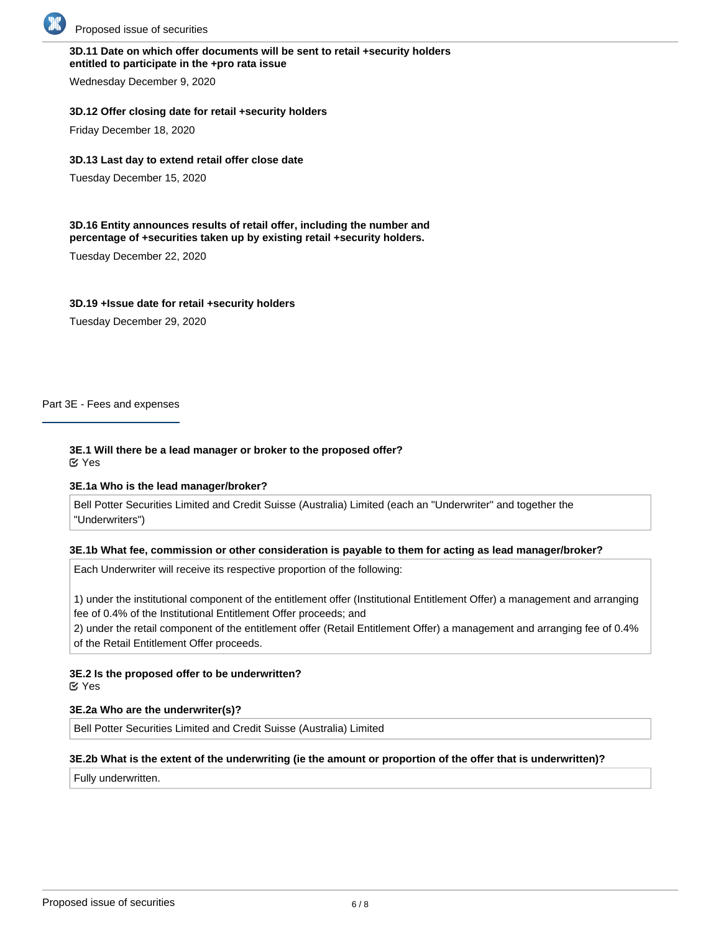

## **3D.11 Date on which offer documents will be sent to retail +security holders entitled to participate in the +pro rata issue**

Wednesday December 9, 2020

## **3D.12 Offer closing date for retail +security holders**

Friday December 18, 2020

## **3D.13 Last day to extend retail offer close date**

Tuesday December 15, 2020

#### **3D.16 Entity announces results of retail offer, including the number and percentage of +securities taken up by existing retail +security holders.**

Tuesday December 22, 2020

## **3D.19 +Issue date for retail +security holders**

Tuesday December 29, 2020

Part 3E - Fees and expenses

#### **3E.1 Will there be a lead manager or broker to the proposed offer?** Yes

## **3E.1a Who is the lead manager/broker?**

Bell Potter Securities Limited and Credit Suisse (Australia) Limited (each an "Underwriter" and together the "Underwriters")

## **3E.1b What fee, commission or other consideration is payable to them for acting as lead manager/broker?**

Each Underwriter will receive its respective proportion of the following:

1) under the institutional component of the entitlement offer (Institutional Entitlement Offer) a management and arranging fee of 0.4% of the Institutional Entitlement Offer proceeds; and

2) under the retail component of the entitlement offer (Retail Entitlement Offer) a management and arranging fee of 0.4% of the Retail Entitlement Offer proceeds.

# **3E.2 Is the proposed offer to be underwritten?**

Yes

# **3E.2a Who are the underwriter(s)?**

Bell Potter Securities Limited and Credit Suisse (Australia) Limited

# **3E.2b What is the extent of the underwriting (ie the amount or proportion of the offer that is underwritten)?**

Fully underwritten.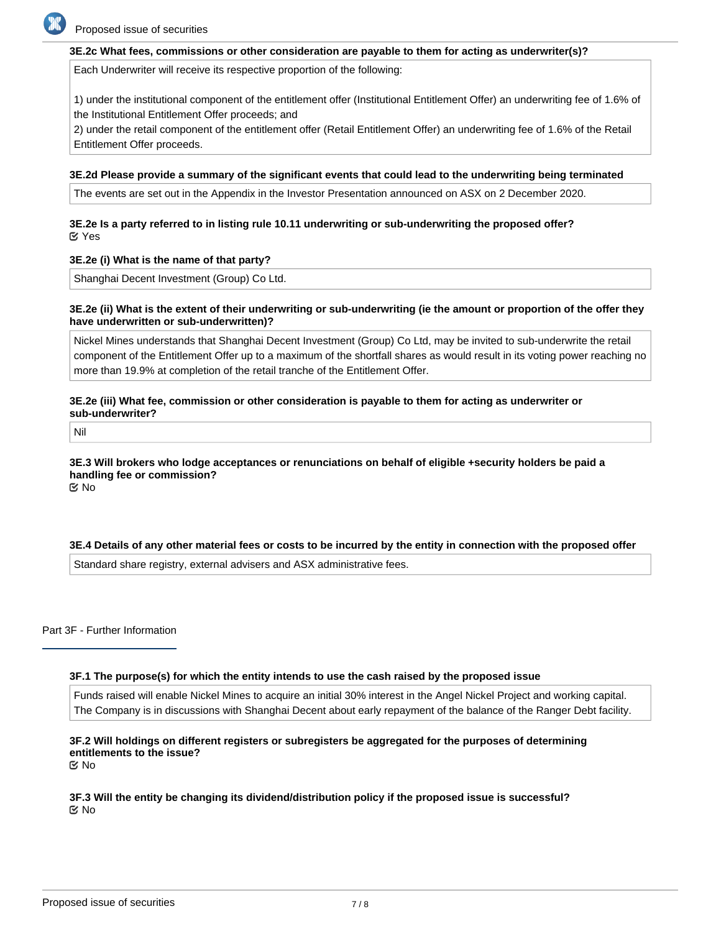

#### **3E.2c What fees, commissions or other consideration are payable to them for acting as underwriter(s)?**

Each Underwriter will receive its respective proportion of the following:

1) under the institutional component of the entitlement offer (Institutional Entitlement Offer) an underwriting fee of 1.6% of the Institutional Entitlement Offer proceeds; and

2) under the retail component of the entitlement offer (Retail Entitlement Offer) an underwriting fee of 1.6% of the Retail Entitlement Offer proceeds.

#### **3E.2d Please provide a summary of the significant events that could lead to the underwriting being terminated**

The events are set out in the Appendix in the Investor Presentation announced on ASX on 2 December 2020.

## **3E.2e Is a party referred to in listing rule 10.11 underwriting or sub-underwriting the proposed offer?** Yes

#### **3E.2e (i) What is the name of that party?**

Shanghai Decent Investment (Group) Co Ltd.

#### **3E.2e (ii) What is the extent of their underwriting or sub-underwriting (ie the amount or proportion of the offer they have underwritten or sub-underwritten)?**

Nickel Mines understands that Shanghai Decent Investment (Group) Co Ltd, may be invited to sub-underwrite the retail component of the Entitlement Offer up to a maximum of the shortfall shares as would result in its voting power reaching no more than 19.9% at completion of the retail tranche of the Entitlement Offer.

## **3E.2e (iii) What fee, commission or other consideration is payable to them for acting as underwriter or sub-underwriter?**

Nil

#### **3E.3 Will brokers who lodge acceptances or renunciations on behalf of eligible +security holders be paid a handling fee or commission?** No

## **3E.4 Details of any other material fees or costs to be incurred by the entity in connection with the proposed offer**

Standard share registry, external advisers and ASX administrative fees.

Part 3F - Further Information

## **3F.1 The purpose(s) for which the entity intends to use the cash raised by the proposed issue**

Funds raised will enable Nickel Mines to acquire an initial 30% interest in the Angel Nickel Project and working capital. The Company is in discussions with Shanghai Decent about early repayment of the balance of the Ranger Debt facility.

# **3F.2 Will holdings on different registers or subregisters be aggregated for the purposes of determining entitlements to the issue?**

No

**3F.3 Will the entity be changing its dividend/distribution policy if the proposed issue is successful?** No